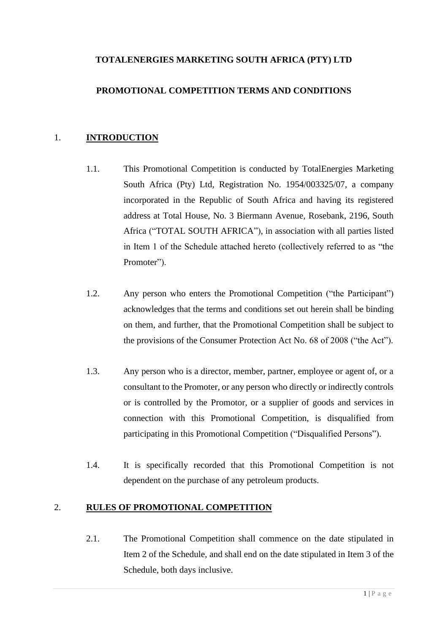## **TOTALENERGIES MARKETING SOUTH AFRICA (PTY) LTD**

## **PROMOTIONAL COMPETITION TERMS AND CONDITIONS**

#### 1. **INTRODUCTION**

- 1.1. This Promotional Competition is conducted by TotalEnergies Marketing South Africa (Pty) Ltd, Registration No. 1954/003325/07, a company incorporated in the Republic of South Africa and having its registered address at Total House, No. 3 Biermann Avenue, Rosebank, 2196, South Africa ("TOTAL SOUTH AFRICA"), in association with all parties listed in Item 1 of the Schedule attached hereto (collectively referred to as "the Promoter").
- 1.2. Any person who enters the Promotional Competition ("the Participant") acknowledges that the terms and conditions set out herein shall be binding on them, and further, that the Promotional Competition shall be subject to the provisions of the Consumer Protection Act No. 68 of 2008 ("the Act").
- 1.3. Any person who is a director, member, partner, employee or agent of, or a consultant to the Promoter, or any person who directly or indirectly controls or is controlled by the Promotor, or a supplier of goods and services in connection with this Promotional Competition, is disqualified from participating in this Promotional Competition ("Disqualified Persons").
- 1.4. It is specifically recorded that this Promotional Competition is not dependent on the purchase of any petroleum products.

#### 2. **RULES OF PROMOTIONAL COMPETITION**

2.1. The Promotional Competition shall commence on the date stipulated in Item 2 of the Schedule, and shall end on the date stipulated in Item 3 of the Schedule, both days inclusive.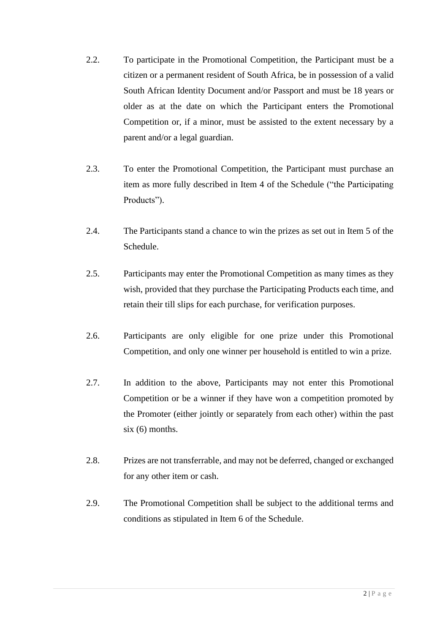- 2.2. To participate in the Promotional Competition, the Participant must be a citizen or a permanent resident of South Africa, be in possession of a valid South African Identity Document and/or Passport and must be 18 years or older as at the date on which the Participant enters the Promotional Competition or, if a minor, must be assisted to the extent necessary by a parent and/or a legal guardian.
- 2.3. To enter the Promotional Competition, the Participant must purchase an item as more fully described in Item 4 of the Schedule ("the Participating Products").
- 2.4. The Participants stand a chance to win the prizes as set out in Item 5 of the Schedule.
- 2.5. Participants may enter the Promotional Competition as many times as they wish, provided that they purchase the Participating Products each time, and retain their till slips for each purchase, for verification purposes.
- 2.6. Participants are only eligible for one prize under this Promotional Competition, and only one winner per household is entitled to win a prize.
- 2.7. In addition to the above, Participants may not enter this Promotional Competition or be a winner if they have won a competition promoted by the Promoter (either jointly or separately from each other) within the past six (6) months.
- 2.8. Prizes are not transferrable, and may not be deferred, changed or exchanged for any other item or cash.
- 2.9. The Promotional Competition shall be subject to the additional terms and conditions as stipulated in Item 6 of the Schedule.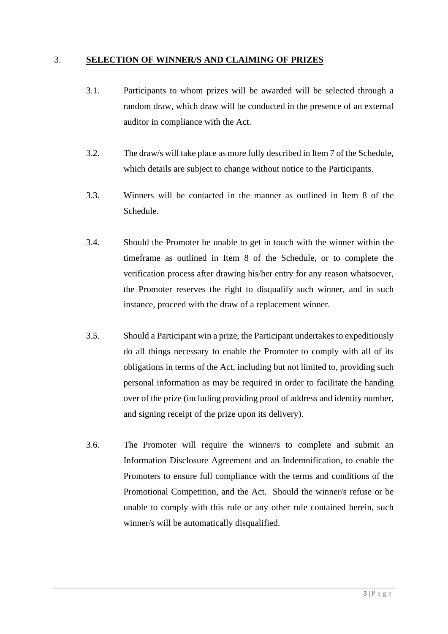#### 3. **SELECTION OF WINNER/S AND CLAIMING OF PRIZES**

- 3.1. Participants to whom prizes will be awarded will be selected through a random draw, which draw will be conducted in the presence of an external auditor in compliance with the Act.
- 3.2. The draw/s will take place as more fully described in Item 7 of the Schedule, which details are subject to change without notice to the Participants.
- 3.3. Winners will be contacted in the manner as outlined in Item 8 of the Schedule.
- 3.4. Should the Promoter be unable to get in touch with the winner within the timeframe as outlined in Item 8 of the Schedule, or to complete the verification process after drawing his/her entry for any reason whatsoever, the Promoter reserves the right to disqualify such winner, and in such instance, proceed with the draw of a replacement winner.
- 3.5. Should a Participant win a prize, the Participant undertakes to expeditiously do all things necessary to enable the Promoter to comply with all of its obligations in terms of the Act, including but not limited to, providing such personal information as may be required in order to facilitate the handing over of the prize (including providing proof of address and identity number, and signing receipt of the prize upon its delivery).
- 3.6. The Promoter will require the winner/s to complete and submit an Information Disclosure Agreement and an Indemnification, to enable the Promoters to ensure full compliance with the terms and conditions of the Promotional Competition, and the Act. Should the winner/s refuse or be unable to comply with this rule or any other rule contained herein, such winner/s will be automatically disqualified.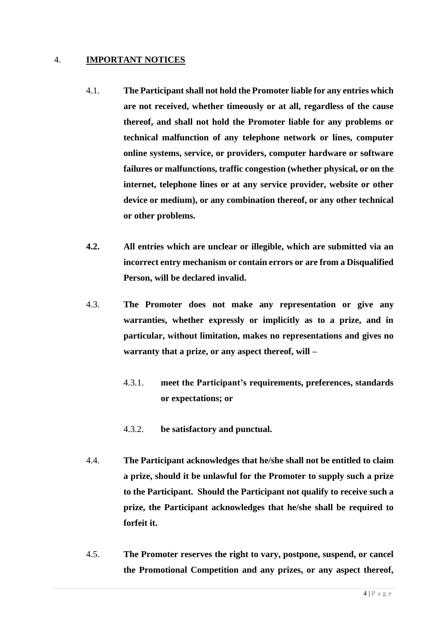#### 4. **IMPORTANT NOTICES**

- 4.1. **The Participant shall not hold the Promoter liable for any entries which are not received, whether timeously or at all, regardless of the cause thereof, and shall not hold the Promoter liable for any problems or technical malfunction of any telephone network or lines, computer online systems, service, or providers, computer hardware or software failures or malfunctions, traffic congestion (whether physical, or on the internet, telephone lines or at any service provider, website or other device or medium), or any combination thereof, or any other technical or other problems.**
- **4.2. All entries which are unclear or illegible, which are submitted via an incorrect entry mechanism or contain errors or are from a Disqualified Person, will be declared invalid.**
- 4.3. **The Promoter does not make any representation or give any warranties, whether expressly or implicitly as to a prize, and in particular, without limitation, makes no representations and gives no warranty that a prize, or any aspect thereof, will –**
	- 4.3.1. **meet the Participant's requirements, preferences, standards or expectations; or**
	- 4.3.2. **be satisfactory and punctual.**
- 4.4. **The Participant acknowledges that he/she shall not be entitled to claim a prize, should it be unlawful for the Promoter to supply such a prize to the Participant. Should the Participant not qualify to receive such a prize, the Participant acknowledges that he/she shall be required to forfeit it.**
- 4.5. **The Promoter reserves the right to vary, postpone, suspend, or cancel the Promotional Competition and any prizes, or any aspect thereof,**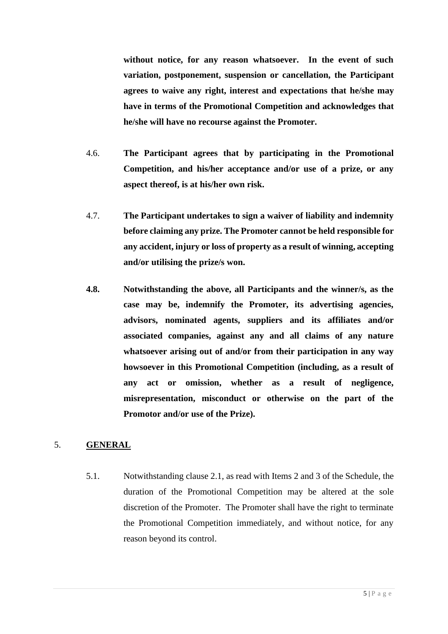**without notice, for any reason whatsoever. In the event of such variation, postponement, suspension or cancellation, the Participant agrees to waive any right, interest and expectations that he/she may have in terms of the Promotional Competition and acknowledges that he/she will have no recourse against the Promoter.** 

- 4.6. **The Participant agrees that by participating in the Promotional Competition, and his/her acceptance and/or use of a prize, or any aspect thereof, is at his/her own risk.**
- 4.7. **The Participant undertakes to sign a waiver of liability and indemnity before claiming any prize. The Promoter cannot be held responsible for any accident, injury or loss of property as a result of winning, accepting and/or utilising the prize/s won.**
- **4.8. Notwithstanding the above, all Participants and the winner/s, as the case may be, indemnify the Promoter, its advertising agencies, advisors, nominated agents, suppliers and its affiliates and/or associated companies, against any and all claims of any nature whatsoever arising out of and/or from their participation in any way howsoever in this Promotional Competition (including, as a result of any act or omission, whether as a result of negligence, misrepresentation, misconduct or otherwise on the part of the Promotor and/or use of the Prize).**

### 5. **GENERAL**

5.1. Notwithstanding clause 2.1, as read with Items 2 and 3 of the Schedule, the duration of the Promotional Competition may be altered at the sole discretion of the Promoter. The Promoter shall have the right to terminate the Promotional Competition immediately, and without notice, for any reason beyond its control.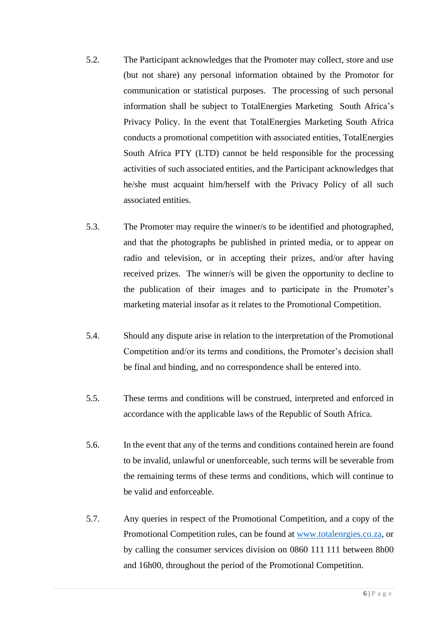- 5.2. The Participant acknowledges that the Promoter may collect, store and use (but not share) any personal information obtained by the Promotor for communication or statistical purposes. The processing of such personal information shall be subject to TotalEnergies Marketing South Africa's Privacy Policy. In the event that TotalEnergies Marketing South Africa conducts a promotional competition with associated entities, TotalEnergies South Africa PTY (LTD) cannot be held responsible for the processing activities of such associated entities, and the Participant acknowledges that he/she must acquaint him/herself with the Privacy Policy of all such associated entities.
- 5.3. The Promoter may require the winner/s to be identified and photographed, and that the photographs be published in printed media, or to appear on radio and television, or in accepting their prizes, and/or after having received prizes. The winner/s will be given the opportunity to decline to the publication of their images and to participate in the Promoter's marketing material insofar as it relates to the Promotional Competition.
- 5.4. Should any dispute arise in relation to the interpretation of the Promotional Competition and/or its terms and conditions, the Promoter's decision shall be final and binding, and no correspondence shall be entered into.
- 5.5. These terms and conditions will be construed, interpreted and enforced in accordance with the applicable laws of the Republic of South Africa.
- 5.6. In the event that any of the terms and conditions contained herein are found to be invalid, unlawful or unenforceable, such terms will be severable from the remaining terms of these terms and conditions, which will continue to be valid and enforceable.
- 5.7. Any queries in respect of the Promotional Competition, and a copy of the Promotional Competition rules, can be found at [www.totalenrgies.co.za,](http://www.totalenrgies.co.za/) or by calling the consumer services division on 0860 111 111 between 8h00 and 16h00, throughout the period of the Promotional Competition.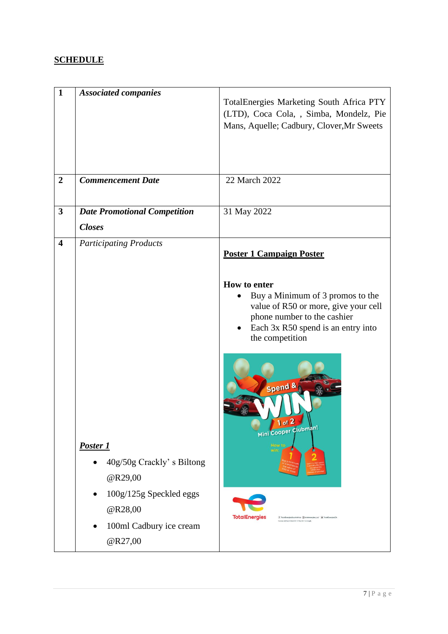# **SCHEDULE**

| $\mathbf{1}$            | <b>Associated companies</b>                                                           | TotalEnergies Marketing South Africa PTY<br>(LTD), Coca Cola, , Simba, Mondelz, Pie<br>Mans, Aquelle; Cadbury, Clover, Mr Sweets                                 |
|-------------------------|---------------------------------------------------------------------------------------|------------------------------------------------------------------------------------------------------------------------------------------------------------------|
| $\overline{2}$          | <b>Commencement Date</b>                                                              | 22 March 2022                                                                                                                                                    |
| $\overline{\mathbf{3}}$ | <b>Date Promotional Competition</b><br><b>Closes</b>                                  | 31 May 2022                                                                                                                                                      |
| $\overline{\mathbf{4}}$ | <b>Participating Products</b>                                                         | <b>Poster 1 Campaign Poster</b><br>How to enter                                                                                                                  |
|                         |                                                                                       | Buy a Minimum of 3 promos to the<br>value of R50 or more, give your cell<br>phone number to the cashier<br>Each 3x R50 spend is an entry into<br>the competition |
|                         | Poster 1                                                                              | Spend &<br>Mini Cooper Clubman!<br><b>How to</b>                                                                                                                 |
|                         | 40g/50g Crackly's Biltong<br>@R29,00                                                  |                                                                                                                                                                  |
|                         | 100g/125g Speckled eggs<br>@R28,00<br>100ml Cadbury ice cream<br>$\bullet$<br>@R27,00 | <b>TotalEnergies</b><br>  TotalEnergiesSouthAfrica @totalenergies_za/ # TotalEnergiesZA                                                                          |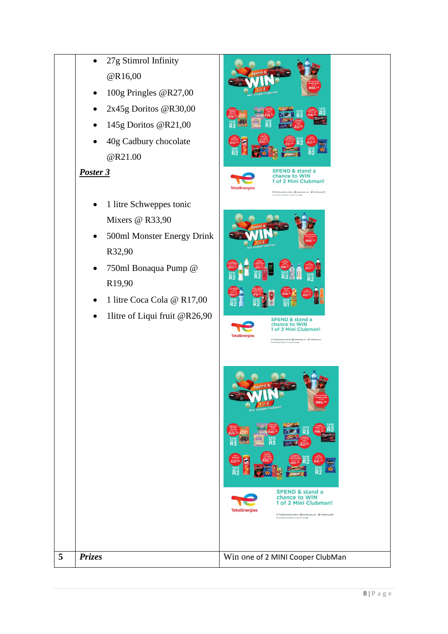